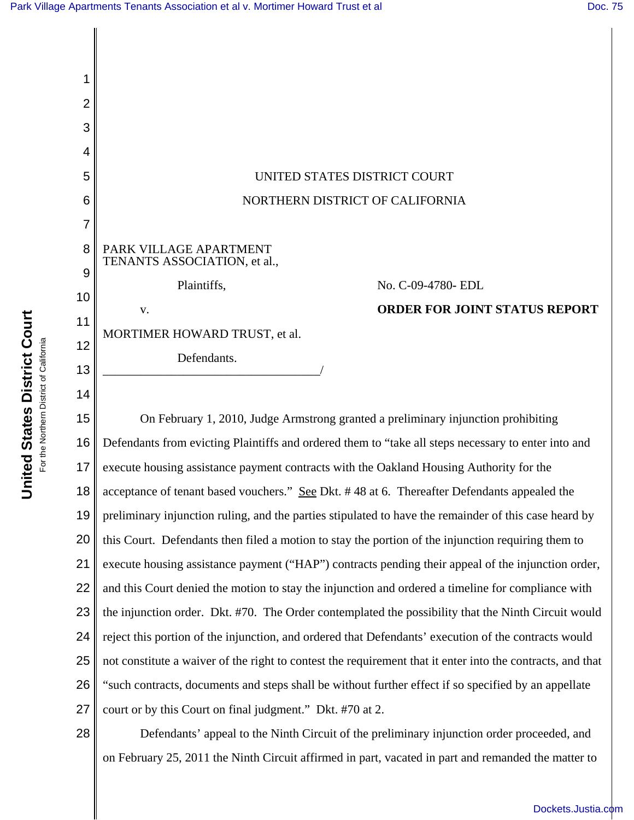1

2

3

4

5

6

7

8

9

11



16 17 18 19 20 21 22 23 24 25 26 27 acceptance of tenant based vouchers." See Dkt. #48 at 6. Thereafter Defendants appealed the preliminary injunction ruling, and the parties stipulated to have the remainder of this case heard by this Court. Defendants then filed a motion to stay the portion of the injunction requiring them to execute housing assistance payment ("HAP") contracts pending their appeal of the injunction order, and this Court denied the motion to stay the injunction and ordered a timeline for compliance with the injunction order. Dkt. #70. The Order contemplated the possibility that the Ninth Circuit would reject this portion of the injunction, and ordered that Defendants' execution of the contracts would not constitute a waiver of the right to contest the requirement that it enter into the contracts, and that "such contracts, documents and steps shall be without further effect if so specified by an appellate court or by this Court on final judgment." Dkt. #70 at 2.

28

**United States District Court** For the Northern District of California

United States District Court For the Northern District of California

> Defendants' appeal to the Ninth Circuit of the preliminary injunction order proceeded, and on February 25, 2011 the Ninth Circuit affirmed in part, vacated in part and remanded the matter to